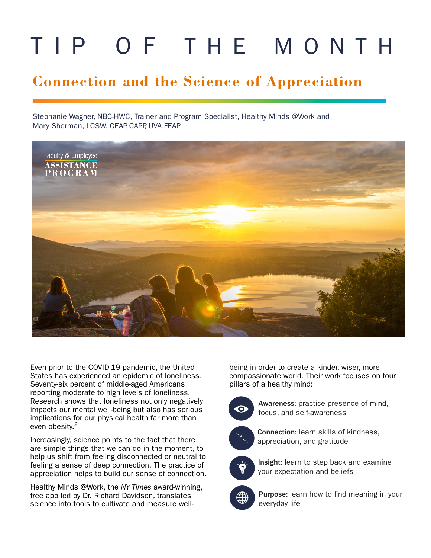# TIP OF THE MONTH

# **Connection and the Science of Appreciation**

Stephanie Wagner, NBC-HWC, Trainer and Program Specialist, Healthy Minds @Work and Mary Sherman, LCSW, CEAP, CAPP, UVA FEAP



Even prior to the COVID-19 pandemic, the United States has experienced an epidemic of loneliness. Seventy-six percent of middle-aged Americans reporting moderate to high levels of loneliness. $1$ Research shows that loneliness not only negatively impacts our mental well-being but also has serious implications for our physical health far more than even obesity.<sup>2</sup>

Increasingly, science points to the fact that there are simple things that we can do in the moment, to help us shift from feeling disconnected or neutral to feeling a sense of deep connection. The practice of appreciation helps to build our sense of connection.

Healthy Minds @Work, the *NY Times* award-winning, free app led by Dr. Richard Davidson, translates science into tools to cultivate and measure wellbeing in order to create a kinder, wiser, more compassionate world. Their work focuses on four pillars of a healthy mind:



Awareness: practice presence of mind, focus, and self-awareness



Connection: learn skills of kindness, appreciation, and gratitude



Insight: learn to step back and examine your expectation and beliefs



Purpose: learn how to find meaning in your everyday life